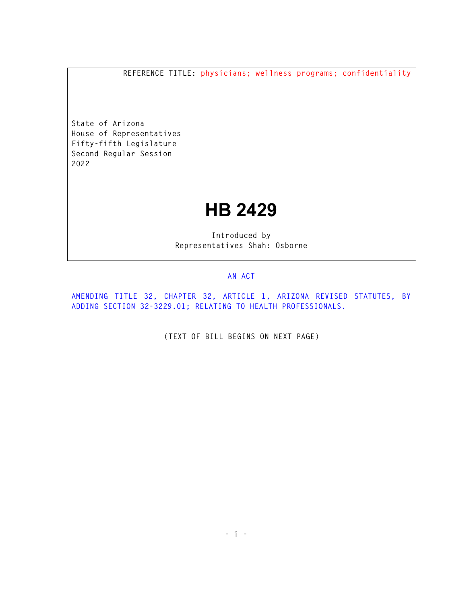**REFERENCE TITLE: physicians; wellness programs; confidentiality** 

**State of Arizona House of Representatives Fifty-fifth Legislature Second Regular Session 2022** 

## **HB 2429**

**Introduced by Representatives Shah: Osborne** 

## **AN ACT**

**AMENDING TITLE 32, CHAPTER 32, ARTICLE 1, ARIZONA REVISED STATUTES, BY ADDING SECTION 32-3229.01; RELATING TO HEALTH PROFESSIONALS.** 

**(TEXT OF BILL BEGINS ON NEXT PAGE)**